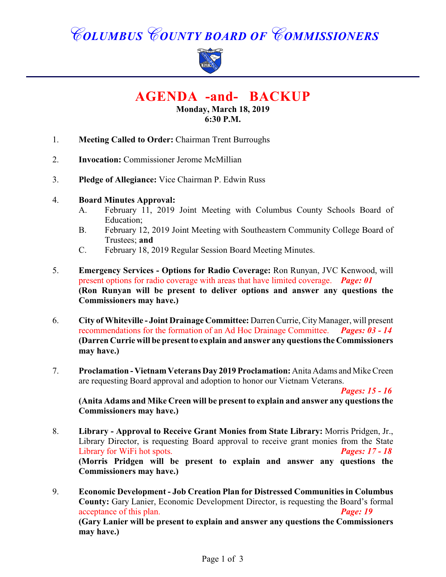# *COLUMBUS COUNTY BOARD OF COMMISSIONERS*



## **AGENDA -and- BACKUP**

#### **Monday, March 18, 2019 6:30 P.M.**

- 1. **Meeting Called to Order:** Chairman Trent Burroughs
- 2. **Invocation:** Commissioner Jerome McMillian
- 3. **Pledge of Allegiance:** Vice Chairman P. Edwin Russ
- 4. **Board Minutes Approval:**
	- A. February 11, 2019 Joint Meeting with Columbus County Schools Board of Education;
	- B. February 12, 2019 Joint Meeting with Southeastern Community College Board of Trustees; **and**
	- C. February 18, 2019 Regular Session Board Meeting Minutes.
- 5. **Emergency Services Options for Radio Coverage:** Ron Runyan, JVC Kenwood, will present options for radio coverage with areas that have limited coverage. *Page: 01* **(Ron Runyan will be present to deliver options and answer any questions the Commissioners may have.)**
- 6. **City of Whiteville Joint Drainage Committee:** Darren Currie, City Manager, will present recommendations for the formation of an Ad Hoc Drainage Committee. *Pages: 03 - 14* **(Darren Currie will be present to explain and answer any questions the Commissioners may have.)**
- 7. **Proclamation Vietnam Veterans Day 2019 Proclamation:** Anita Adams and Mike Creen are requesting Board approval and adoption to honor our Vietnam Veterans.

*Pages: 15 - 16*

**(Anita Adams and Mike Creen will be present to explain and answer any questions the Commissioners may have.)**

- 8. **Library Approval to Receive Grant Monies from State Library:** Morris Pridgen, Jr., Library Director, is requesting Board approval to receive grant monies from the State Library for WiFi hot spots. *Pages: 17 - 18* **(Morris Pridgen will be present to explain and answer any questions the Commissioners may have.)**
- 9. **Economic Development Job Creation Plan for Distressed Communities in Columbus County:** Gary Lanier, Economic Development Director, is requesting the Board's formal acceptance of this plan. *Page: 19*

**(Gary Lanier will be present to explain and answer any questions the Commissioners may have.)**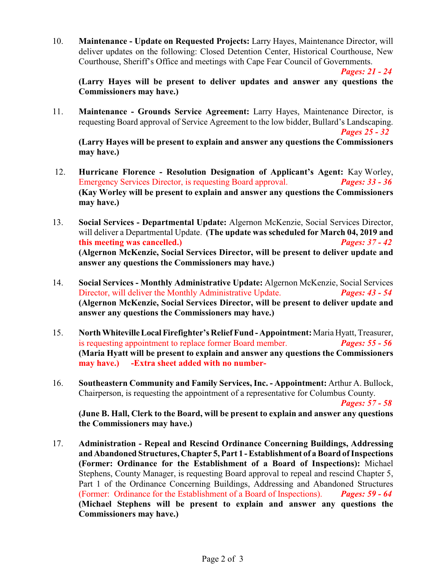10. **Maintenance - Update on Requested Projects:** Larry Hayes, Maintenance Director, will deliver updates on the following: Closed Detention Center, Historical Courthouse, New Courthouse, Sheriff's Office and meetings with Cape Fear Council of Governments.

*Pages: 21 - 24*

**(Larry Hayes will be present to deliver updates and answer any questions the Commissioners may have.)**

11. **Maintenance - Grounds Service Agreement:** Larry Hayes, Maintenance Director, is requesting Board approval of Service Agreement to the low bidder, Bullard's Landscaping.

*Pages 25 - 32*

**(Larry Hayes will be present to explain and answer any questions the Commissioners may have.)**

- 12. **Hurricane Florence Resolution Designation of Applicant's Agent:** Kay Worley, Emergency Services Director, is requesting Board approval. *Pages: 33 - 36* **(Kay Worley will be present to explain and answer any questions the Commissioners may have.)**
- 13. **Social Services Departmental Update:** Algernon McKenzie, Social Services Director, will deliver a Departmental Update. **(The update was scheduled for March 04, 2019 and this meeting was cancelled.)** *Pages: 37 - 42* **(Algernon McKenzie, Social Services Director, will be present to deliver update and answer any questions the Commissioners may have.)**
- 14. **Social Services Monthly Administrative Update:** Algernon McKenzie, Social Services Director, will deliver the Monthly Administrative Update. *Pages: 43 - 54* **(Algernon McKenzie, Social Services Director, will be present to deliver update and answer any questions the Commissioners may have.)**
- 15. **North Whiteville Local Firefighter's Relief Fund Appointment:** Maria Hyatt, Treasurer, is requesting appointment to replace former Board member. *Pages: 55 - 56* **(Maria Hyatt will be present to explain and answer any questions the Commissioners may have.) -Extra sheet added with no number-**
- 16. **Southeastern Community and Family Services, Inc. Appointment:** Arthur A. Bullock, Chairperson, is requesting the appointment of a representative for Columbus County.

*Pages: 57 - 58*

**(June B. Hall, Clerk to the Board, will be present to explain and answer any questions the Commissioners may have.)**

17. **Administration - Repeal and Rescind Ordinance Concerning Buildings, Addressing and Abandoned Structures, Chapter 5, Part 1 - Establishment of a Board of Inspections (Former: Ordinance for the Establishment of a Board of Inspections):** Michael Stephens, County Manager, is requesting Board approval to repeal and rescind Chapter 5, Part 1 of the Ordinance Concerning Buildings, Addressing and Abandoned Structures (Former: Ordinance for the Establishment of a Board of Inspections). *Pages: 59 - 64* **(Michael Stephens will be present to explain and answer any questions the Commissioners may have.)**